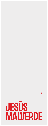# **JESÚS<br>MALVERDE**

**NENU**